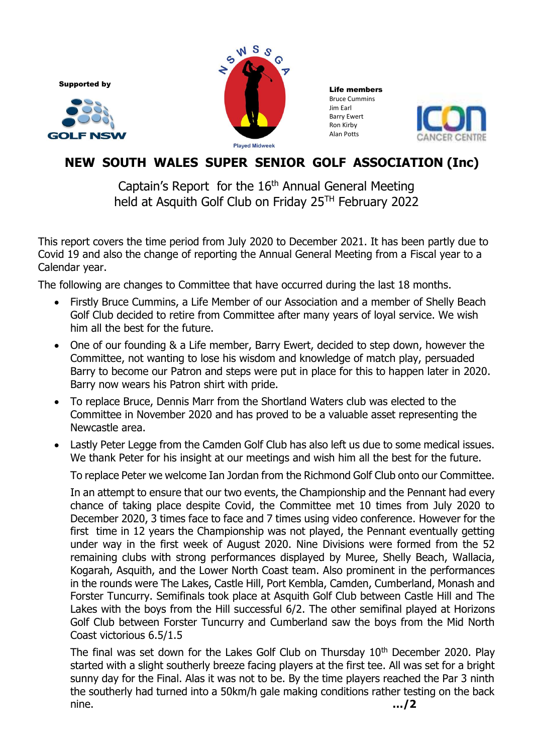Supported by





Life members Bruce Cummins Jim Earl Barry Ewert Ron Kirby Alan Potts



## **NEW SOUTH WALES SUPER SENIOR GOLF ASSOCIATION (Inc)**

Captain's Report for the 16<sup>th</sup> Annual General Meeting held at Asquith Golf Club on Friday 25<sup>TH</sup> February 2022

This report covers the time period from July 2020 to December 2021. It has been partly due to Covid 19 and also the change of reporting the Annual General Meeting from a Fiscal year to a Calendar year.

The following are changes to Committee that have occurred during the last 18 months.

- Firstly Bruce Cummins, a Life Member of our Association and a member of Shelly Beach Golf Club decided to retire from Committee after many years of loyal service. We wish him all the best for the future.
- One of our founding & a Life member, Barry Ewert, decided to step down, however the Committee, not wanting to lose his wisdom and knowledge of match play, persuaded Barry to become our Patron and steps were put in place for this to happen later in 2020. Barry now wears his Patron shirt with pride.
- To replace Bruce, Dennis Marr from the Shortland Waters club was elected to the Committee in November 2020 and has proved to be a valuable asset representing the Newcastle area.
- Lastly Peter Legge from the Camden Golf Club has also left us due to some medical issues. We thank Peter for his insight at our meetings and wish him all the best for the future.

To replace Peter we welcome Ian Jordan from the Richmond Golf Club onto our Committee.

In an attempt to ensure that our two events, the Championship and the Pennant had every chance of taking place despite Covid, the Committee met 10 times from July 2020 to December 2020, 3 times face to face and 7 times using video conference. However for the first time in 12 years the Championship was not played, the Pennant eventually getting under way in the first week of August 2020. Nine Divisions were formed from the 52 remaining clubs with strong performances displayed by Muree, Shelly Beach, Wallacia, Kogarah, Asquith, and the Lower North Coast team. Also prominent in the performances in the rounds were The Lakes, Castle Hill, Port Kembla, Camden, Cumberland, Monash and Forster Tuncurry. Semifinals took place at Asquith Golf Club between Castle Hill and The Lakes with the boys from the Hill successful 6/2. The other semifinal played at Horizons Golf Club between Forster Tuncurry and Cumberland saw the boys from the Mid North Coast victorious 6.5/1.5

The final was set down for the Lakes Golf Club on Thursday  $10<sup>th</sup>$  December 2020. Play started with a slight southerly breeze facing players at the first tee. All was set for a bright sunny day for the Final. Alas it was not to be. By the time players reached the Par 3 ninth the southerly had turned into a 50km/h gale making conditions rather testing on the back nine. **…/2**